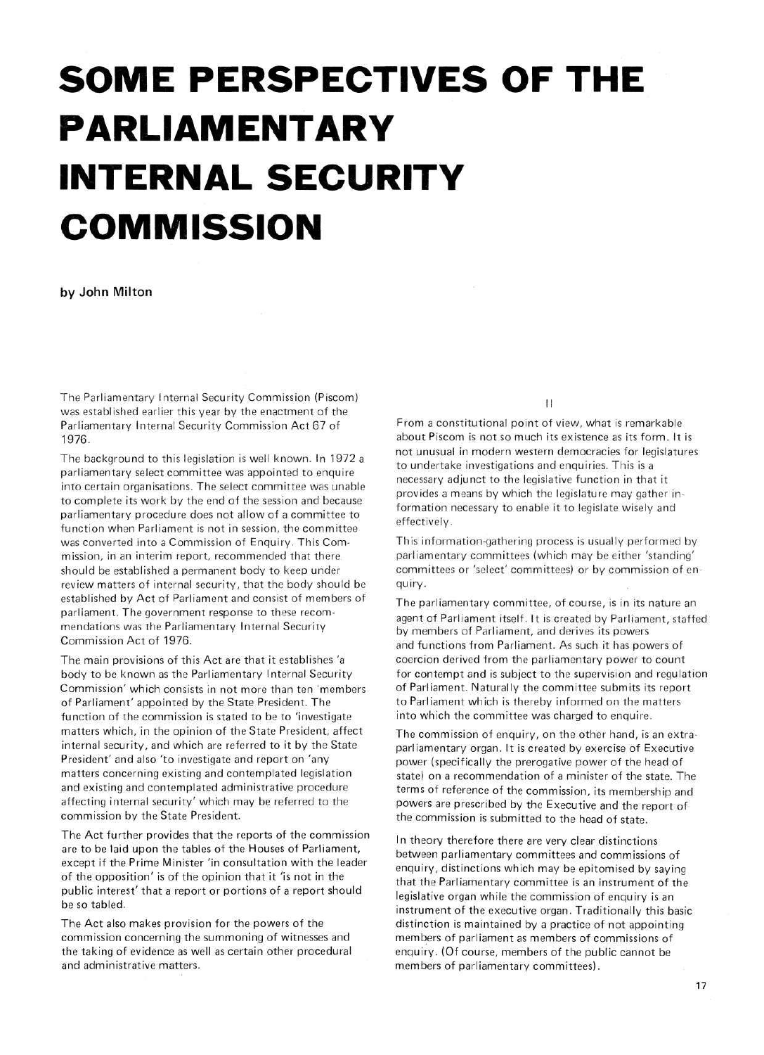# **SOME PERSPECTIVES OF THE PARLIAMENTARY INTERNAL SECURITY COMMISSION**

by John Milton

The Parliamentary Internal Security Commission (Piscom) was established earlier this year by the enactment of the Parliamentary Internal Security Commission Act 67 of 1976.

The background to this legislation is well known. In 1972 a parliamentary select committee was appointed to enquire into certain organisations. The select committee was unable to complete its work by the end of the session and because parliamentary procedure does not allow of a committee to function when Parliament is not in session, the committee was converted into a Commission of Enquiry. This Commission, in an interim report, recommended that there should be established a permanent body to keep under review matters of internal security, that the body should be established by Act of Parliament and consist of members of parliament. The government response to these recommendations was the Parliamentary Internal Security Commission Act of 1976.

The main provisions of this Act are that it establishes 'a body to be known as the Parliamentary Internal Security Commission' which consists in not more than ten 'members of Parliament' appointed by the State President. The function of the commission is stated to be to 'investigate matters which, in the opinion of the State President, affect internal security, and which are referred to it by the State President' and also 'to investigate and report on 'any matters concerning existing and contemplated legislation and existing and contemplated administrative procedure affecting internal security' which may be referred to the commission by the State President.

The Act further provides that the reports of the commission are to be laid upon the tables of the Houses of Parliament, except if the Prime Minister 'in consultation with the leader of the opposition' is of the opinion that it 'is not in the public interest' that a report or portions of a report should be so tabled.

The Act also makes provision for the powers of the commission concerning the summoning of witnesses and the taking of evidence as well as certain other procedural and administrative matters.

 $\mathbf{H}$ 

From a constitutional point of view, what is remarkable about Piscom is not so much its existence as its form. !t is not unusual in modern western democracies for legislatures to undertake investigations and enquiries. This is a necessary adjunct to the legislative function in that it provides a means by which the legislature may gather information necessary to enable it to legislate wisely and effectively.

This information-gathering process is usually performed by parliamentary committees (which may be either 'standing' committees or 'select' committees) or by commission of enquiry.

The parliamentary committee, of course, is in its nature an agent of Parliament itself. It is created by Parliament, staffed by members of Parliament, and derives its powers and functions from Parliament. As such it has powers of coercion derived from the parliamentary power to count for contempt and is subject to the supervision and regulation of Parliament. Naturally the committee submits its report to Parliament which is thereby informed on the matters into which the committee was charged to enquire.

The commission of enquiry, on the other hand, is an extraparliamentary organ. It is created by exercise of Executive power (specifically the prerogative power of the head of state) on a recommendation of a minister of the state. The terms of reference of the commission, its membership and powers are prescribed by the Executive and the report of the commission is submitted to the head of state.

In theory therefore there are very clear distinctions between parliamentary committees and commissions of enquiry, distinctions which may be epitomised by saying that the Parliamentary committee is an instrument of the legislative organ while the commission of enquiry is an instrument of the executive organ. Traditionally this basic distinction is maintained by a practice of not appointing members of parliament as members of commissions of enquiry. (Of course, members of the public cannot be members of parliamentary committees).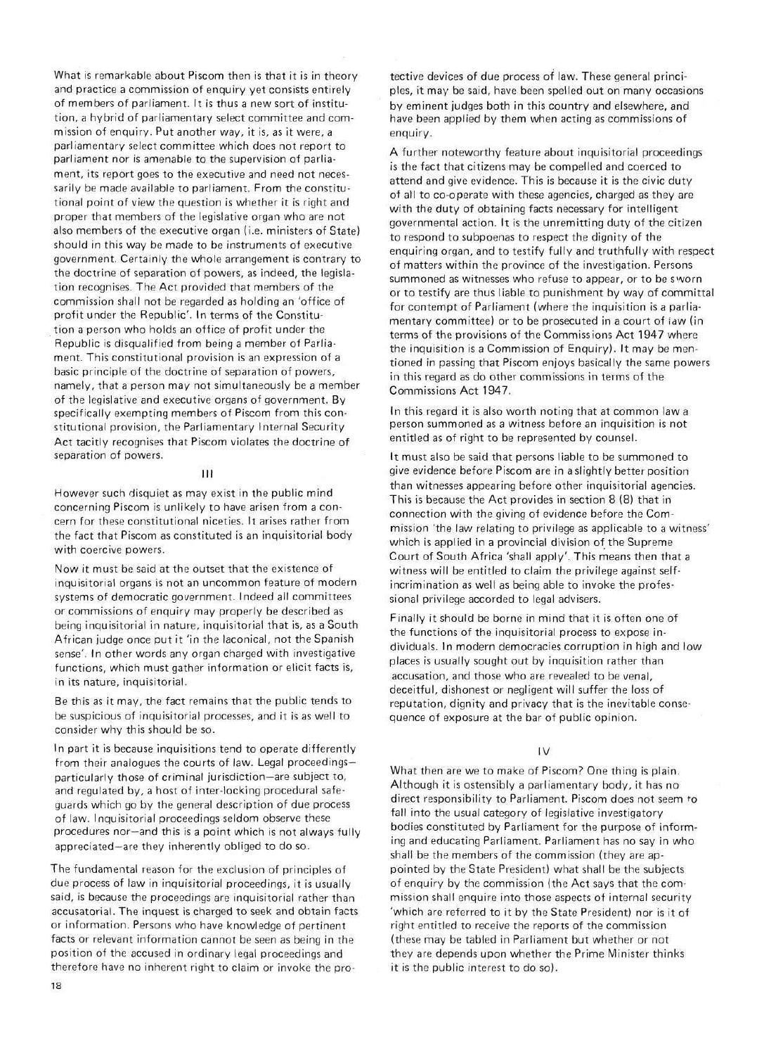What is remarkable about Piscom then is that it is in theory and practice a commission of enquiry yet consists entirely of members of parliament. It is thus a new sort of institution, a hybrid of parliamentary select committee and commission of enquiry. Put another way, it is, as it were, a parliamentary select committee which does not report to parliament nor is amenable to the supervision of parliament, its report goes to the executive and need not necessarily be made available to parliament. From the constitutional point of view the question is whether it is right and proper that members of the legislative organ who are not also members of the executive organ (i.e. ministers of State) should in this way be made to be instruments of executive government. Certainly the whole arrangement is contrary to the doctrine of separation of powers, as indeed, the legislation recognises. The Act provided that members of the commission shall not be regarded as holding an 'office of profit under the Republic'. In terms of the Constitution a person who holds an office of profit under the Republic is disqualified from being a member of Parliament. This constitutional provision is an expression of a basic principle of the doctrine of separation of powers, namely, that a person may not simultaneously be a member of the legislative and executive organs of government. By specifically exempting members of Piscom from this constitutional provision, the Parliamentary Internal Security Act tacitly recognises that Piscom violates the doctrine of separation of powers.

#### IN

However such disquiet as may exist in the public mind concerning Piscom is unlikely to have arisen from a concern for these constitutional niceties. It arises rather from the fact that Piscom as constituted is an inquisitorial body with coercive powers.

Now it must be said at the outset that the existence of inquisitorial organs is not an uncommon feature of modern systems of democratic government. Indeed all committees or commissions of enquiry may properly be described as being inquisitorial in nature, inquisitorial that is, as a South African judge once put it 'in the laconical, not the Spanish sense'. In other words any organ charged with investigative functions, which must gather information or elicit facts is, in its nature, inquisitorial.

Be this as it may, the fact remains that the public tends to be suspicious of inquisitorial processes, and it is as well to consider why this should be so.

In part it is because inquisitions tend to operate differently from their analogues the courts of law. Legal proceedings particularly those of criminal jurisdiction—are subject to, and regulated by, a host of inter-locking procedural safeguards which go by the general description of due process of law. Inquisitorial proceedings seldom observe these procedures nor—and this is a point which is not always fully appreciated—are they inherently obliged to do so.

The fundamental reason for the exclusion of principles of due process of law in inquisitorial proceedings, it is usually said, is because the proceedings are inquisitorial rather than accusatorial. The inquest is charged to seek and obtain facts or information. Persons who have knowledge of pertinent facts or relevant information cannot be seen as being in the position of the accused in ordinary legal proceedings and therefore have no inherent right to claim or invoke the pro-

tective devices of due process of law. These general principles, it may be said, have been spelled out on many occasions by eminent judges both in this country and elsewhere, and have been applied by them when acting as commissions of enquiry.

A further noteworthy feature about inquisitorial proceedings is the fact that citizens may be compelled and coerced to attend and give evidence. This is because it is the civic duty of all to co-operate with these agencies, charged as they are with the duty of obtaining facts necessary for intelligent governmental action. It is the unremitting duty of the citizen to respond to subpoenas to respect the dignity of the enquiring organ, and to testify fully and truthfully with respect of matters within the province of the investigation. Persons summoned as witnesses who refuse to appear, or to be sworn or to testify are thus liable to punishment by way of committal for contempt of Parliament (where the inquisition is a parliamentary committee) or to be prosecuted in a court of law (in terms of the provisions of the Commissions Act 1947 where the inquisition is a Commission of Enquiry). It may be mentioned in passing that Piscom enjoys basically the same powers in this regard as do other commissions in terms of the Commissions Act 1947.

In this regard it is also worth noting that at common law a person summoned as a witness before an inquisition is not entitled as of right to be represented by counsel.

It must also be said that persons liable to be summoned to give evidence before Piscom are in a slightly better position than witnesses appearing before other inquisitorial agencies. This is because the Act provides in section 8 (8) that in connection with the giving of evidence before the Commission 'the law relating to privilege as applicable to a witness' which is applied in a provincial division of the Supreme Court of South Africa 'shall apply'. This means then that a witness will be entitled to claim the privilege against selfincrimination as well as being able to invoke the professional privilege accorded to legal advisers.

Finally it should be borne in mind that it is often one of the functions of the inquisitorial process to expose individuals. In modern democracies corruption in high and low places is usually sought out by inquisition rather than accusation, and those who are revealed to be venal, deceitful, dishonest or negligent will suffer the loss of reputation, dignity and privacy that is the inevitable consequence of exposure at the bar of public opinion.

### $\overline{11}$

What then are we to make of Piscom? One thing is plain. Although it is ostensibly a parliamentary body, it has no direct responsibility to Parliament. Piscom does not seem to fall into the usual category of legislative investigatory bodies constituted by Parliament for the purpose of informing and educating Parliament. Parliament has no say in who shall be the members of the commission (they are appointed by the State President) what shall be the subjects of enquiry by the commission (the Act says that the commission shall enquire into those aspects of internal security 'which are referred to it by the State President) nor is it of right entitled to receive the reports of the commission (these may be tabled in Parliament but whether or not they are depends upon whether the Prime Minister thinks it is the public interest to do so).